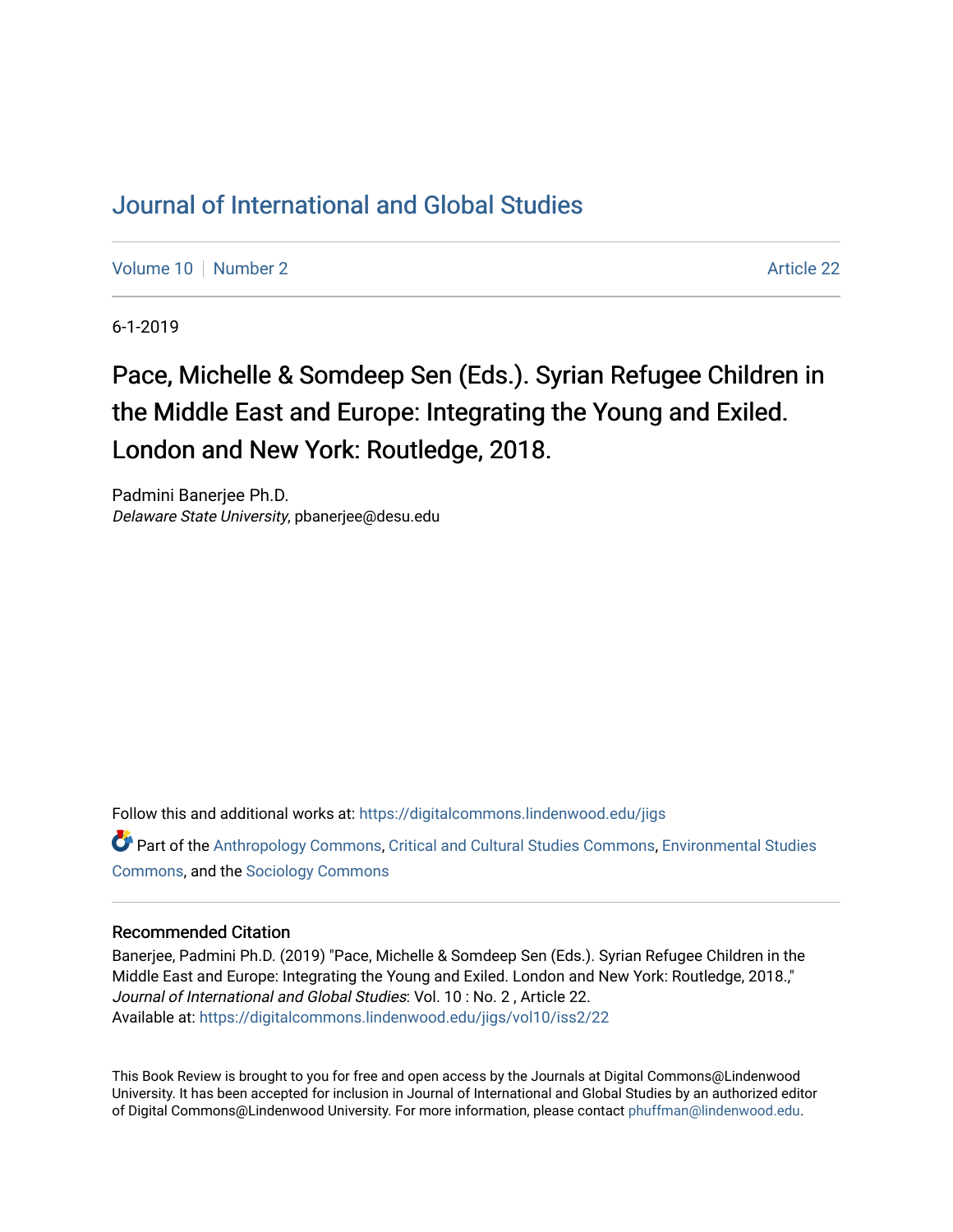## [Journal of International and Global Studies](https://digitalcommons.lindenwood.edu/jigs)

[Volume 10](https://digitalcommons.lindenwood.edu/jigs/vol10) [Number 2](https://digitalcommons.lindenwood.edu/jigs/vol10/iss2) Article 22

6-1-2019

## Pace, Michelle & Somdeep Sen (Eds.). Syrian Refugee Children in the Middle East and Europe: Integrating the Young and Exiled. London and New York: Routledge, 2018.

Padmini Banerjee Ph.D. Delaware State University, pbanerjee@desu.edu

Follow this and additional works at: [https://digitalcommons.lindenwood.edu/jigs](https://digitalcommons.lindenwood.edu/jigs?utm_source=digitalcommons.lindenwood.edu%2Fjigs%2Fvol10%2Fiss2%2F22&utm_medium=PDF&utm_campaign=PDFCoverPages) 

Part of the [Anthropology Commons](http://network.bepress.com/hgg/discipline/318?utm_source=digitalcommons.lindenwood.edu%2Fjigs%2Fvol10%2Fiss2%2F22&utm_medium=PDF&utm_campaign=PDFCoverPages), [Critical and Cultural Studies Commons](http://network.bepress.com/hgg/discipline/328?utm_source=digitalcommons.lindenwood.edu%2Fjigs%2Fvol10%2Fiss2%2F22&utm_medium=PDF&utm_campaign=PDFCoverPages), [Environmental Studies](http://network.bepress.com/hgg/discipline/1333?utm_source=digitalcommons.lindenwood.edu%2Fjigs%2Fvol10%2Fiss2%2F22&utm_medium=PDF&utm_campaign=PDFCoverPages)  [Commons](http://network.bepress.com/hgg/discipline/1333?utm_source=digitalcommons.lindenwood.edu%2Fjigs%2Fvol10%2Fiss2%2F22&utm_medium=PDF&utm_campaign=PDFCoverPages), and the [Sociology Commons](http://network.bepress.com/hgg/discipline/416?utm_source=digitalcommons.lindenwood.edu%2Fjigs%2Fvol10%2Fiss2%2F22&utm_medium=PDF&utm_campaign=PDFCoverPages)

## Recommended Citation

Banerjee, Padmini Ph.D. (2019) "Pace, Michelle & Somdeep Sen (Eds.). Syrian Refugee Children in the Middle East and Europe: Integrating the Young and Exiled. London and New York: Routledge, 2018.," Journal of International and Global Studies: Vol. 10 : No. 2 , Article 22. Available at: [https://digitalcommons.lindenwood.edu/jigs/vol10/iss2/22](https://digitalcommons.lindenwood.edu/jigs/vol10/iss2/22?utm_source=digitalcommons.lindenwood.edu%2Fjigs%2Fvol10%2Fiss2%2F22&utm_medium=PDF&utm_campaign=PDFCoverPages) 

This Book Review is brought to you for free and open access by the Journals at Digital Commons@Lindenwood University. It has been accepted for inclusion in Journal of International and Global Studies by an authorized editor of Digital Commons@Lindenwood University. For more information, please contact [phuffman@lindenwood.edu](mailto:phuffman@lindenwood.edu).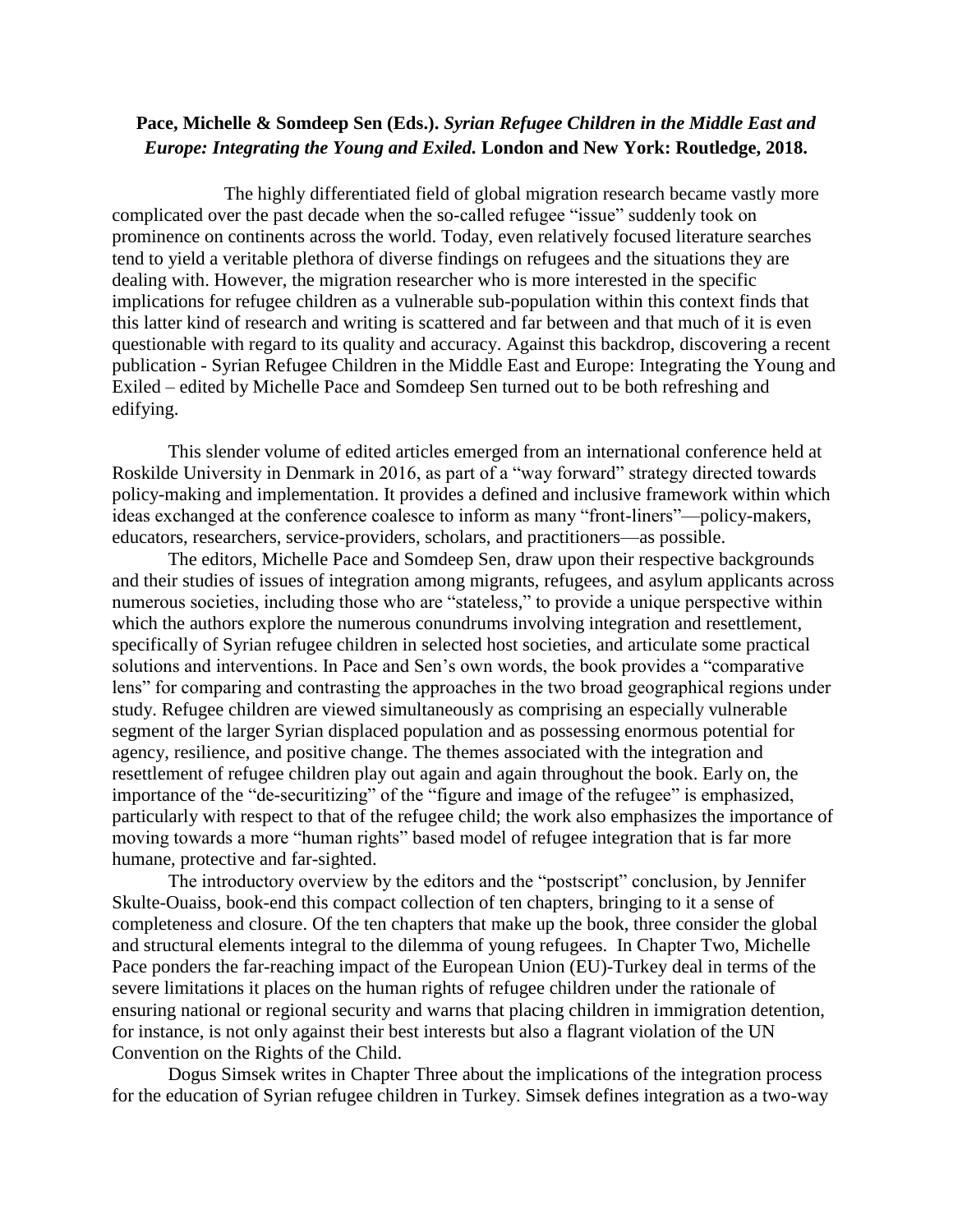## **Pace, Michelle & Somdeep Sen (Eds.).** *Syrian Refugee Children in the Middle East and Europe: Integrating the Young and Exiled.* **London and New York: Routledge, 2018.**

The highly differentiated field of global migration research became vastly more complicated over the past decade when the so-called refugee "issue" suddenly took on prominence on continents across the world. Today, even relatively focused literature searches tend to yield a veritable plethora of diverse findings on refugees and the situations they are dealing with. However, the migration researcher who is more interested in the specific implications for refugee children as a vulnerable sub-population within this context finds that this latter kind of research and writing is scattered and far between and that much of it is even questionable with regard to its quality and accuracy. Against this backdrop, discovering a recent publication - Syrian Refugee Children in the Middle East and Europe: Integrating the Young and Exiled – edited by Michelle Pace and Somdeep Sen turned out to be both refreshing and edifying.

This slender volume of edited articles emerged from an international conference held at Roskilde University in Denmark in 2016, as part of a "way forward" strategy directed towards policy-making and implementation. It provides a defined and inclusive framework within which ideas exchanged at the conference coalesce to inform as many "front-liners"—policy-makers, educators, researchers, service-providers, scholars, and practitioners—as possible.

The editors, Michelle Pace and Somdeep Sen, draw upon their respective backgrounds and their studies of issues of integration among migrants, refugees, and asylum applicants across numerous societies, including those who are "stateless," to provide a unique perspective within which the authors explore the numerous conundrums involving integration and resettlement, specifically of Syrian refugee children in selected host societies, and articulate some practical solutions and interventions. In Pace and Sen's own words, the book provides a "comparative lens" for comparing and contrasting the approaches in the two broad geographical regions under study. Refugee children are viewed simultaneously as comprising an especially vulnerable segment of the larger Syrian displaced population and as possessing enormous potential for agency, resilience, and positive change. The themes associated with the integration and resettlement of refugee children play out again and again throughout the book. Early on, the importance of the "de-securitizing" of the "figure and image of the refugee" is emphasized, particularly with respect to that of the refugee child; the work also emphasizes the importance of moving towards a more "human rights" based model of refugee integration that is far more humane, protective and far-sighted.

The introductory overview by the editors and the "postscript" conclusion, by Jennifer Skulte-Ouaiss, book-end this compact collection of ten chapters, bringing to it a sense of completeness and closure. Of the ten chapters that make up the book, three consider the global and structural elements integral to the dilemma of young refugees. In Chapter Two, Michelle Pace ponders the far-reaching impact of the European Union (EU)-Turkey deal in terms of the severe limitations it places on the human rights of refugee children under the rationale of ensuring national or regional security and warns that placing children in immigration detention, for instance, is not only against their best interests but also a flagrant violation of the UN Convention on the Rights of the Child.

Dogus Simsek writes in Chapter Three about the implications of the integration process for the education of Syrian refugee children in Turkey. Simsek defines integration as a two-way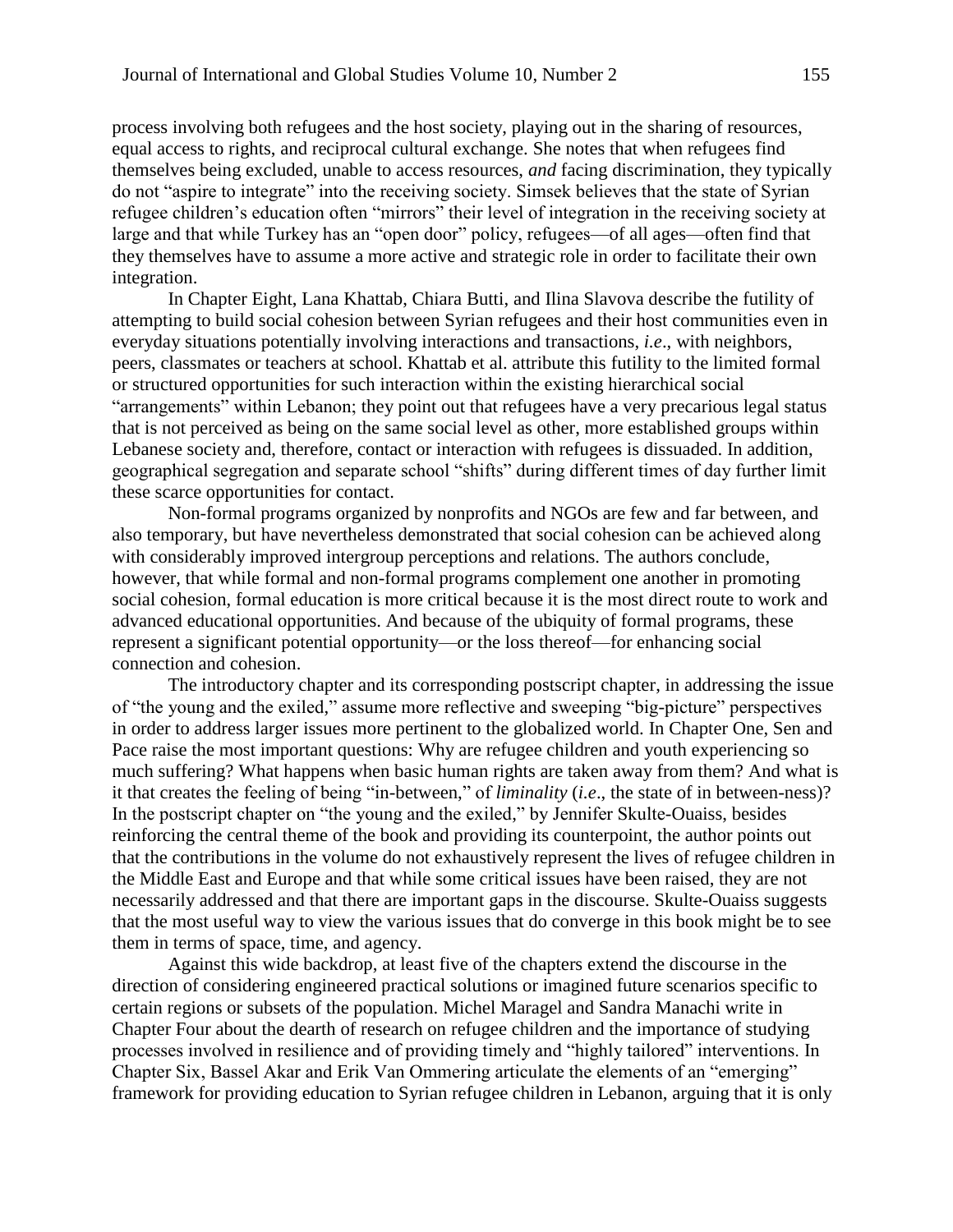process involving both refugees and the host society, playing out in the sharing of resources, equal access to rights, and reciprocal cultural exchange. She notes that when refugees find themselves being excluded, unable to access resources, *and* facing discrimination, they typically do not "aspire to integrate" into the receiving society. Simsek believes that the state of Syrian refugee children's education often "mirrors" their level of integration in the receiving society at large and that while Turkey has an "open door" policy, refugees—of all ages—often find that they themselves have to assume a more active and strategic role in order to facilitate their own integration.

In Chapter Eight, Lana Khattab, Chiara Butti, and Ilina Slavova describe the futility of attempting to build social cohesion between Syrian refugees and their host communities even in everyday situations potentially involving interactions and transactions, *i.e*., with neighbors, peers, classmates or teachers at school. Khattab et al. attribute this futility to the limited formal or structured opportunities for such interaction within the existing hierarchical social "arrangements" within Lebanon; they point out that refugees have a very precarious legal status that is not perceived as being on the same social level as other, more established groups within Lebanese society and, therefore, contact or interaction with refugees is dissuaded. In addition, geographical segregation and separate school "shifts" during different times of day further limit these scarce opportunities for contact.

Non-formal programs organized by nonprofits and NGOs are few and far between, and also temporary, but have nevertheless demonstrated that social cohesion can be achieved along with considerably improved intergroup perceptions and relations. The authors conclude, however, that while formal and non-formal programs complement one another in promoting social cohesion, formal education is more critical because it is the most direct route to work and advanced educational opportunities. And because of the ubiquity of formal programs, these represent a significant potential opportunity—or the loss thereof—for enhancing social connection and cohesion.

The introductory chapter and its corresponding postscript chapter, in addressing the issue of "the young and the exiled," assume more reflective and sweeping "big-picture" perspectives in order to address larger issues more pertinent to the globalized world. In Chapter One, Sen and Pace raise the most important questions: Why are refugee children and youth experiencing so much suffering? What happens when basic human rights are taken away from them? And what is it that creates the feeling of being "in-between," of *liminality* (*i.e*., the state of in between-ness)? In the postscript chapter on "the young and the exiled," by Jennifer Skulte-Ouaiss, besides reinforcing the central theme of the book and providing its counterpoint, the author points out that the contributions in the volume do not exhaustively represent the lives of refugee children in the Middle East and Europe and that while some critical issues have been raised, they are not necessarily addressed and that there are important gaps in the discourse. Skulte-Ouaiss suggests that the most useful way to view the various issues that do converge in this book might be to see them in terms of space, time, and agency.

Against this wide backdrop, at least five of the chapters extend the discourse in the direction of considering engineered practical solutions or imagined future scenarios specific to certain regions or subsets of the population. Michel Maragel and Sandra Manachi write in Chapter Four about the dearth of research on refugee children and the importance of studying processes involved in resilience and of providing timely and "highly tailored" interventions. In Chapter Six, Bassel Akar and Erik Van Ommering articulate the elements of an "emerging" framework for providing education to Syrian refugee children in Lebanon, arguing that it is only